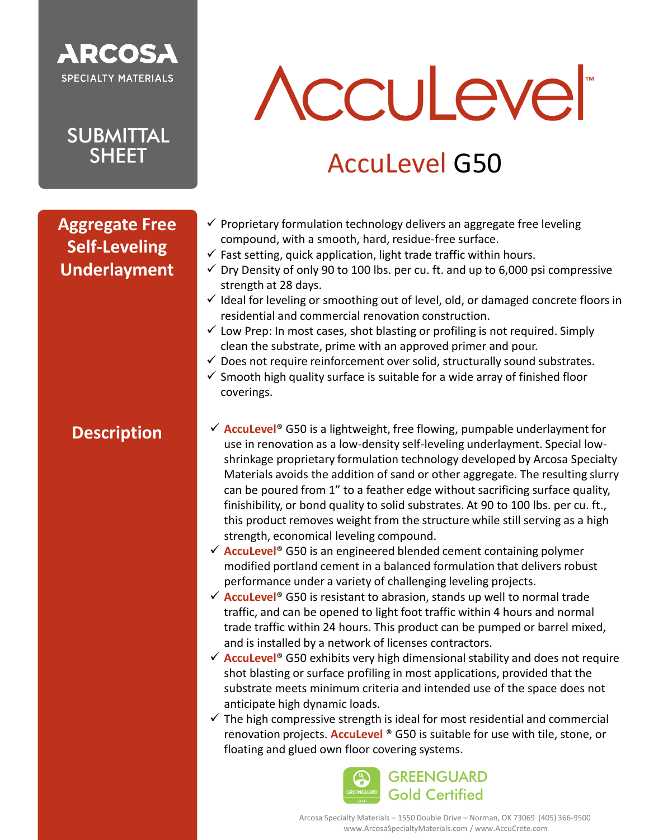

**SUBMITTAL SHEET** 

# **Acculevel**

## AccuLevel G50

### **Aggregate Free Self-Leveling Underlayment**

### **Description**

- $\checkmark$  Proprietary formulation technology delivers an aggregate free leveling compound, with a smooth, hard, residue-free surface.
- $\checkmark$  Fast setting, quick application, light trade traffic within hours.
- $\checkmark$  Dry Density of only 90 to 100 lbs. per cu. ft. and up to 6,000 psi compressive strength at 28 days.
- $\checkmark$  Ideal for leveling or smoothing out of level, old, or damaged concrete floors in residential and commercial renovation construction.
- $\checkmark$  Low Prep: In most cases, shot blasting or profiling is not required. Simply clean the substrate, prime with an approved primer and pour.
- $\checkmark$  Does not require reinforcement over solid, structurally sound substrates.
- $\checkmark$  Smooth high quality surface is suitable for a wide array of finished floor coverings.
- ✓ **AccuLevel**® G50 is a lightweight, free flowing, pumpable underlayment for use in renovation as a low-density self-leveling underlayment. Special lowshrinkage proprietary formulation technology developed by Arcosa Specialty Materials avoids the addition of sand or other aggregate. The resulting slurry can be poured from 1" to a feather edge without sacrificing surface quality, finishibility, or bond quality to solid substrates. At 90 to 100 lbs. per cu. ft., this product removes weight from the structure while still serving as a high strength, economical leveling compound.
- ✓ **AccuLevel**® G50 is an engineered blended cement containing polymer modified portland cement in a balanced formulation that delivers robust performance under a variety of challenging leveling projects.
- ✓ **AccuLevel**® G50 is resistant to abrasion, stands up well to normal trade traffic, and can be opened to light foot traffic within 4 hours and normal trade traffic within 24 hours. This product can be pumped or barrel mixed, and is installed by a network of licenses contractors.
- ✓ **AccuLevel**® G50 exhibits very high dimensional stability and does not require shot blasting or surface profiling in most applications, provided that the substrate meets minimum criteria and intended use of the space does not anticipate high dynamic loads.
- $\checkmark$  The high compressive strength is ideal for most residential and commercial renovation projects. **AccuLevel** ® G50 is suitable for use with tile, stone, or floating and glued own floor covering systems.

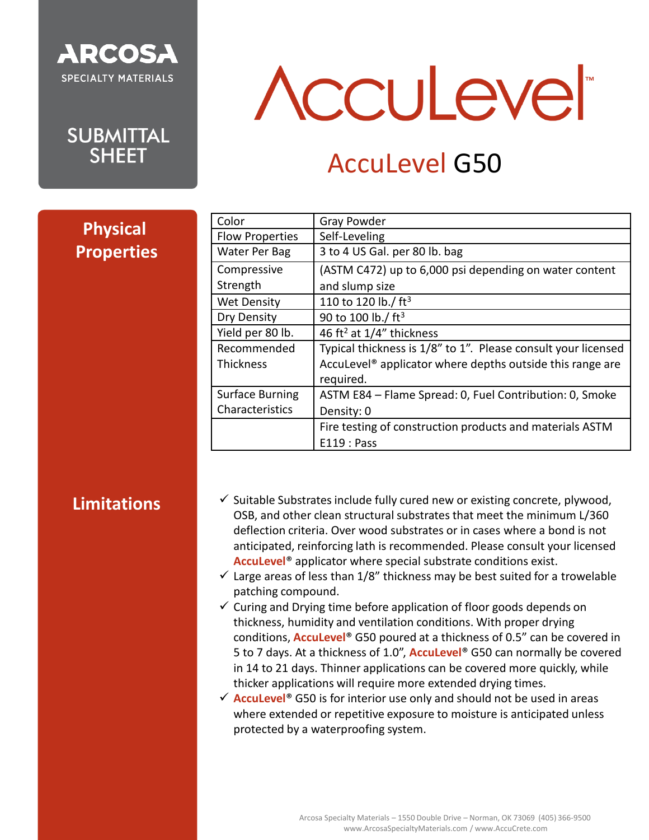

**SUBMITTAL SHEET** 

## **Acculever**

## AccuLevel G50

| <b>Physical</b>   |
|-------------------|
| <b>Properties</b> |

| Color                  | <b>Gray Powder</b>                                                    |
|------------------------|-----------------------------------------------------------------------|
| <b>Flow Properties</b> | Self-Leveling                                                         |
| <b>Water Per Bag</b>   | 3 to 4 US Gal. per 80 lb. bag                                         |
| Compressive            | (ASTM C472) up to 6,000 psi depending on water content                |
| Strength               | and slump size                                                        |
| <b>Wet Density</b>     | 110 to 120 lb./ ft <sup>3</sup>                                       |
| Dry Density            | 90 to 100 lb./ $ft^3$                                                 |
| Yield per 80 lb.       | 46 ft <sup>2</sup> at $1/4$ " thickness                               |
| Recommended            | Typical thickness is 1/8" to 1". Please consult your licensed         |
| <b>Thickness</b>       | Acculevel <sup>®</sup> applicator where depths outside this range are |
|                        | required.                                                             |
| <b>Surface Burning</b> | ASTM E84 - Flame Spread: 0, Fuel Contribution: 0, Smoke               |
| Characteristics        | Density: 0                                                            |
|                        | Fire testing of construction products and materials ASTM              |
|                        | E119: Pass                                                            |

### **Limitations**

- $\checkmark$  Suitable Substrates include fully cured new or existing concrete, plywood, OSB, and other clean structural substrates that meet the minimum L/360 deflection criteria. Over wood substrates or in cases where a bond is not anticipated, reinforcing lath is recommended. Please consult your licensed **AccuLevel**® applicator where special substrate conditions exist.
- $\checkmark$  Large areas of less than 1/8" thickness may be best suited for a trowelable patching compound.
- $\checkmark$  Curing and Drying time before application of floor goods depends on thickness, humidity and ventilation conditions. With proper drying conditions, **AccuLevel**® G50 poured at a thickness of 0.5" can be covered in 5 to 7 days. At a thickness of 1.0", **AccuLevel**® G50 can normally be covered in 14 to 21 days. Thinner applications can be covered more quickly, while thicker applications will require more extended drying times.

✓ **AccuLevel**® G50 is for interior use only and should not be used in areas where extended or repetitive exposure to moisture is anticipated unless protected by a waterproofing system.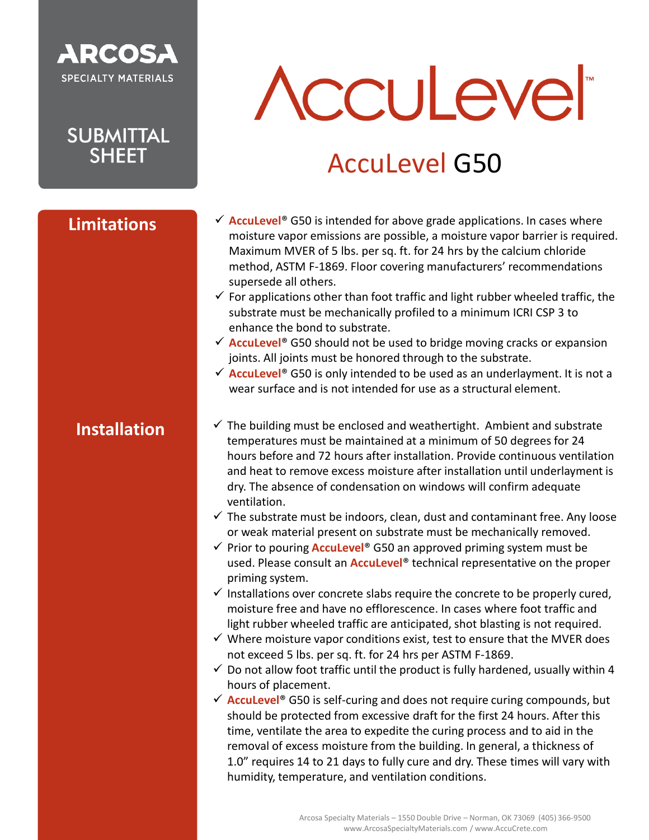## **ARCOSA SPECIALTY MATERIALS**

**SUBMITTAL SHFFT** 

**Limitations**

# **Acculevel**

## AccuLevel G50

- ✓ **AccuLevel**® G50 is intended for above grade applications. In cases where moisture vapor emissions are possible, a moisture vapor barrier is required. Maximum MVER of 5 lbs. per sq. ft. for 24 hrs by the calcium chloride method, ASTM F-1869. Floor covering manufacturers' recommendations supersede all others.
- $\checkmark$  For applications other than foot traffic and light rubber wheeled traffic, the substrate must be mechanically profiled to a minimum ICRI CSP 3 to enhance the bond to substrate.
- ✓ **AccuLevel**® G50 should not be used to bridge moving cracks or expansion joints. All joints must be honored through to the substrate.
- ✓ **AccuLevel**® G50 is only intended to be used as an underlayment. It is not a wear surface and is not intended for use as a structural element.

### **Installation**

- $\checkmark$  The building must be enclosed and weathertight. Ambient and substrate temperatures must be maintained at a minimum of 50 degrees for 24 hours before and 72 hours after installation. Provide continuous ventilation and heat to remove excess moisture after installation until underlayment is dry. The absence of condensation on windows will confirm adequate ventilation.
- $\checkmark$  The substrate must be indoors, clean, dust and contaminant free. Any loose or weak material present on substrate must be mechanically removed.
- ✓ Prior to pouring **AccuLevel**® G50 an approved priming system must be used. Please consult an **AccuLevel**® technical representative on the proper priming system.
- $\checkmark$  Installations over concrete slabs require the concrete to be properly cured, moisture free and have no efflorescence. In cases where foot traffic and light rubber wheeled traffic are anticipated, shot blasting is not required.
- $\checkmark$  Where moisture vapor conditions exist, test to ensure that the MVER does not exceed 5 lbs. per sq. ft. for 24 hrs per ASTM F-1869.
- $\checkmark$  Do not allow foot traffic until the product is fully hardened, usually within 4 hours of placement.
- ✓ **AccuLevel**® G50 is self-curing and does not require curing compounds, but should be protected from excessive draft for the first 24 hours. After this time, ventilate the area to expedite the curing process and to aid in the removal of excess moisture from the building. In general, a thickness of 1.0" requires 14 to 21 days to fully cure and dry. These times will vary with humidity, temperature, and ventilation conditions.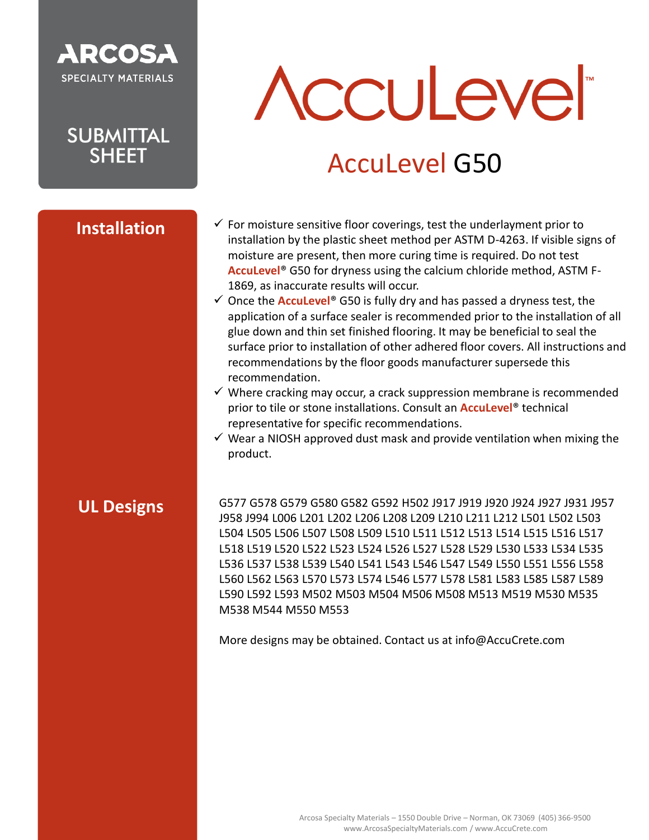

**SUBMITTAL SHFFT** 

#### **Installation**

# **Acculevel**

## AccuLevel G50

- $\checkmark$  For moisture sensitive floor coverings, test the underlayment prior to installation by the plastic sheet method per ASTM D-4263. If visible signs of moisture are present, then more curing time is required. Do not test **AccuLevel**® G50 for dryness using the calcium chloride method, ASTM F-1869, as inaccurate results will occur.
- ✓ Once the **AccuLevel**® G50 is fully dry and has passed a dryness test, the application of a surface sealer is recommended prior to the installation of all glue down and thin set finished flooring. It may be beneficial to seal the surface prior to installation of other adhered floor covers. All instructions and recommendations by the floor goods manufacturer supersede this recommendation.
- $\checkmark$  Where cracking may occur, a crack suppression membrane is recommended prior to tile or stone installations. Consult an **AccuLevel**® technical representative for specific recommendations.
- $\checkmark$  Wear a NIOSH approved dust mask and provide ventilation when mixing the product.

#### **UL Designs**

G577 G578 G579 G580 G582 G592 H502 J917 J919 J920 J924 J927 J931 J957 J958 J994 L006 L201 L202 L206 L208 L209 L210 L211 L212 L501 L502 L503 L504 L505 L506 L507 L508 L509 L510 L511 L512 L513 L514 L515 L516 L517 L518 L519 L520 L522 L523 L524 L526 L527 L528 L529 L530 L533 L534 L535 L536 L537 L538 L539 L540 L541 L543 L546 L547 L549 L550 L551 L556 L558 L560 L562 L563 L570 L573 L574 L546 L577 L578 L581 L583 L585 L587 L589 L590 L592 L593 M502 M503 M504 M506 M508 M513 M519 M530 M535 M538 M544 M550 M553

More designs may be obtained. Contact us at info@AccuCrete.com